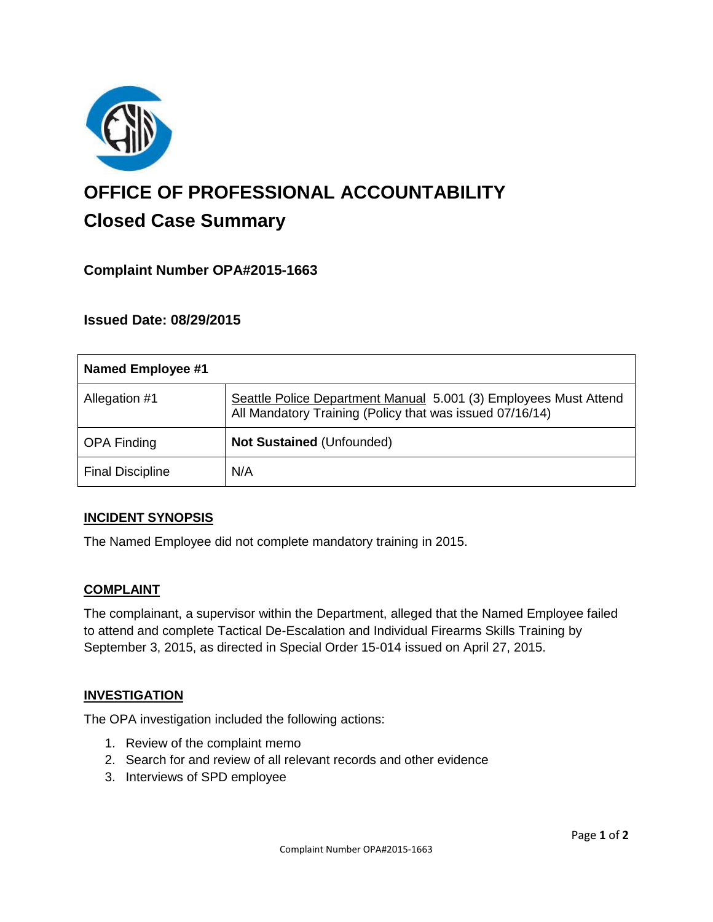

# **OFFICE OF PROFESSIONAL ACCOUNTABILITY Closed Case Summary**

# **Complaint Number OPA#2015-1663**

## **Issued Date: 08/29/2015**

| <b>Named Employee #1</b> |                                                                                                                              |
|--------------------------|------------------------------------------------------------------------------------------------------------------------------|
| Allegation #1            | Seattle Police Department Manual 5.001 (3) Employees Must Attend<br>All Mandatory Training (Policy that was issued 07/16/14) |
| <b>OPA Finding</b>       | Not Sustained (Unfounded)                                                                                                    |
| <b>Final Discipline</b>  | N/A                                                                                                                          |

#### **INCIDENT SYNOPSIS**

The Named Employee did not complete mandatory training in 2015.

#### **COMPLAINT**

The complainant, a supervisor within the Department, alleged that the Named Employee failed to attend and complete Tactical De-Escalation and Individual Firearms Skills Training by September 3, 2015, as directed in Special Order 15-014 issued on April 27, 2015.

#### **INVESTIGATION**

The OPA investigation included the following actions:

- 1. Review of the complaint memo
- 2. Search for and review of all relevant records and other evidence
- 3. Interviews of SPD employee